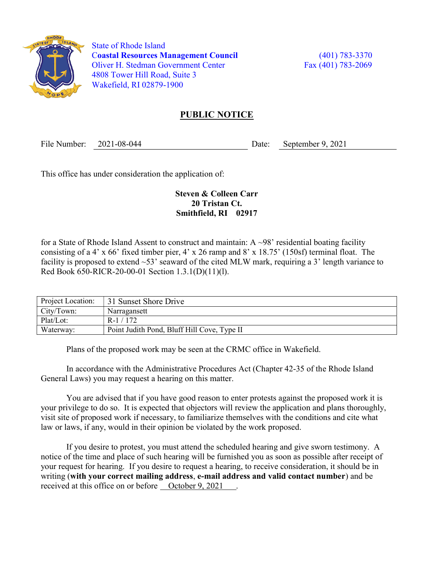

 State of Rhode Island Coastal Resources Management Council (401) 783-3370 Oliver H. Stedman Government Center Fax (401) 783-2069 4808 Tower Hill Road, Suite 3 Wakefield, RI 02879-1900

## PUBLIC NOTICE

File Number: 2021-08-044 Date: September 9, 2021

This office has under consideration the application of:

## Steven & Colleen Carr 20 Tristan Ct. Smithfield, RI 02917

for a State of Rhode Island Assent to construct and maintain:  $A \sim 98'$  residential boating facility consisting of a 4' x 66' fixed timber pier, 4' x 26 ramp and 8' x 18.75' (150sf) terminal float. The facility is proposed to extend  $\sim$ 53' seaward of the cited MLW mark, requiring a 3' length variance to Red Book 650-RICR-20-00-01 Section 1.3.1(D)(11)(l).

| Project Location: | 31 Sunset Shore Drive                       |
|-------------------|---------------------------------------------|
| City/Town:        | Narragansett                                |
| Plat/Lot:         | $R-1/172$                                   |
| Waterway:         | Point Judith Pond, Bluff Hill Cove, Type II |

Plans of the proposed work may be seen at the CRMC office in Wakefield.

In accordance with the Administrative Procedures Act (Chapter 42-35 of the Rhode Island General Laws) you may request a hearing on this matter.

You are advised that if you have good reason to enter protests against the proposed work it is your privilege to do so. It is expected that objectors will review the application and plans thoroughly, visit site of proposed work if necessary, to familiarize themselves with the conditions and cite what law or laws, if any, would in their opinion be violated by the work proposed.

If you desire to protest, you must attend the scheduled hearing and give sworn testimony. A notice of the time and place of such hearing will be furnished you as soon as possible after receipt of your request for hearing. If you desire to request a hearing, to receive consideration, it should be in writing (with your correct mailing address, e-mail address and valid contact number) and be received at this office on or before <u>October 9, 2021</u>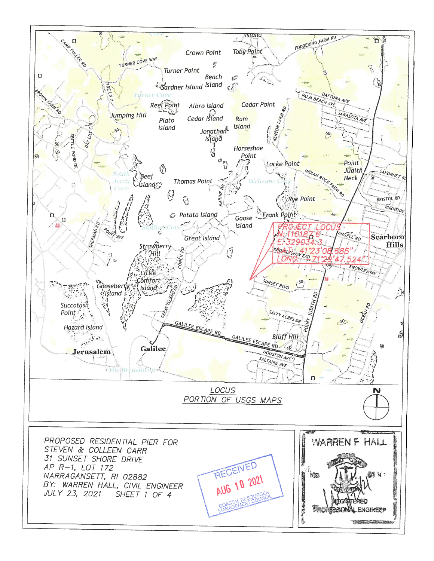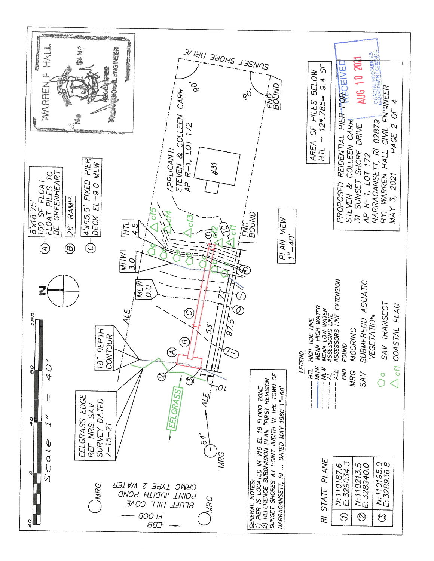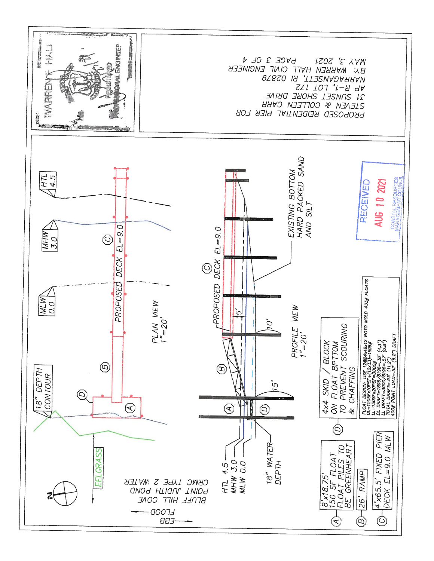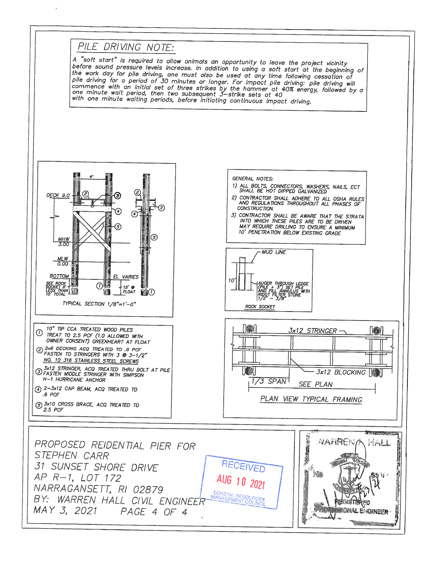